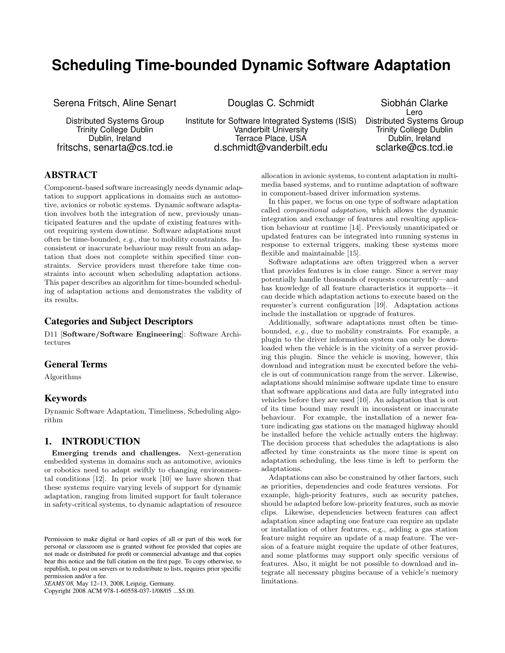# **Scheduling Time-bounded Dynamic Software Adaptation**

Serena Fritsch, Aline Senart **Douglas C. Schmidt** Siobhán Clarke

Distributed Systems Group Institute for Software Integrated Systems (ISIS) Distributed Systems Group Trinity College Dublin **Trinity College Dublin** Vanderbilt University Trinity Trinity College Dub<br>Dublin, Ireland Terrace Place, USA Dublin, Ireland Terrace Place, USA fritschs, senarta@cs.tcd.ie d.schmidt@vanderbilt.edu sclarke@cs.tcd.ie

Lero<br>Distributed Systems Group

# **ABSTRACT**

Component-based software increasingly needs dynamic adaptation to support applications in domains such as automotive, avionics or robotic systems. Dynamic software adaptation involves both the integration of new, previously unanticipated features and the update of existing features without requiring system downtime. Software adaptations must often be time-bounded, e.g., due to mobility constraints. Inconsistent or inaccurate behaviour may result from an adaptation that does not complete within specified time constraints. Service providers must therefore take time constraints into account when scheduling adaptation actions. This paper describes an algorithm for time-bounded scheduling of adaptation actions and demonstrates the validity of its results.

## **Categories and Subject Descriptors**

D11 [Software/Software Engineering]: Software Architectures

# **General Terms**

Algorithms

# **Keywords**

Dynamic Software Adaptation, Timeliness, Scheduling algorithm

# **1. INTRODUCTION**

Emerging trends and challenges. Next-generation embedded systems in domains such as automotive, avionics or robotics need to adapt swiftly to changing environmental conditions [12]. In prior work [10] we have shown that these systems require varying levels of support for dynamic adaptation, ranging from limited support for fault tolerance in safety-critical systems, to dynamic adaptation of resource

Copyright 2008 ACM 978-1-60558-037-1/08/05 ...\$5.00.

allocation in avionic systems, to content adaptation in multimedia based systems, and to runtime adaptation of software in component-based driver information systems.

In this paper, we focus on one type of software adaptation called compositional adaptation, which allows the dynamic integration and exchange of features and resulting application behaviour at runtime [14]. Previously unanticipated or updated features can be integrated into running systems in response to external triggers, making these systems more flexible and maintainable [15].

Software adaptations are often triggered when a server that provides features is in close range. Since a server may potentially handle thousands of requests concurrently—and has knowledge of all feature characteristics it supports—it can decide which adaptation actions to execute based on the requester's current configuration [19]. Adaptation actions include the installation or upgrade of features.

Additionally, software adaptations must often be timebounded, e.g., due to mobility constraints. For example, a plugin to the driver information system can only be downloaded when the vehicle is in the vicinity of a server providing this plugin. Since the vehicle is moving, however, this download and integration must be executed before the vehicle is out of communication range from the server. Likewise, adaptations should minimise software update time to ensure that software applications and data are fully integrated into vehicles before they are used [10]. An adaptation that is out of its time bound may result in inconsistent or inaccurate behaviour. For example, the installation of a newer feature indicating gas stations on the managed highway should be installed before the vehicle actually enters the highway. The decision process that schedules the adaptations is also affected by time constraints as the more time is spent on adaptation scheduling, the less time is left to perform the adaptations.

Adaptations can also be constrained by other factors, such as priorities, dependencies and code features versions. For example, high-priority features, such as security patches, should be adapted before low-priority features, such as movie clips. Likewise, dependencies between features can affect adaptation since adapting one feature can require an update or installation of other features, e.g., adding a gas station feature might require an update of a map feature. The version of a feature might require the update of other features, and some platforms may support only specific versions of features. Also, it might be not possible to download and integrate all necessary plugins because of a vehicle's memory limitations.

Permission to make digital or hard copies of all or part of this work for personal or classroom use is granted without fee provided that copies are not made or distributed for profit or commercial advantage and that copies bear this notice and the full citation on the first page. To copy otherwise, to republish, to post on servers or to redistribute to lists, requires prior specific permission and/or a fee.

*SEAMS'08,* May 12–13, 2008, Leipzig, Germany.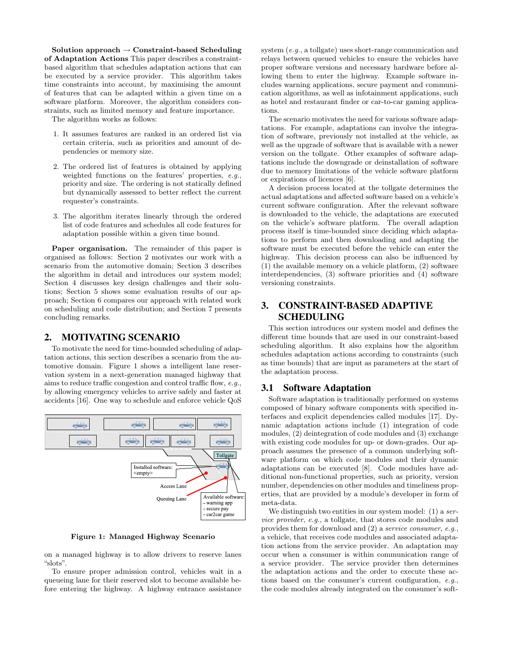Solution approach  $\rightarrow$  Constraint-based Scheduling of Adaptation Actions This paper describes a constraintbased algorithm that schedules adaptation actions that can be executed by a service provider. This algorithm takes time constraints into account, by maximising the amount of features that can be adapted within a given time on a software platform. Moreover, the algorithm considers constraints, such as limited memory and feature importance.

The algorithm works as follows:

- 1. It assumes features are ranked in an ordered list via certain criteria, such as priorities and amount of dependencies or memory size.
- 2. The ordered list of features is obtained by applying weighted functions on the features' properties, e.g., priority and size. The ordering is not statically defined but dynamically assessed to better reflect the current requester's constraints.
- 3. The algorithm iterates linearly through the ordered list of code features and schedules all code features for adaptation possible within a given time bound.

Paper organisation. The remainder of this paper is organised as follows: Section 2 motivates our work with a scenario from the automotive domain; Section 3 describes the algorithm in detail and introduces our system model; Section 4 discusses key design challenges and their solutions; Section 5 shows some evaluation results of our approach; Section 6 compares our approach with related work on scheduling and code distribution; and Section 7 presents concluding remarks.

## **2. MOTIVATING SCENARIO**

To motivate the need for time-bounded scheduling of adaptation actions, this section describes a scenario from the automotive domain. Figure 1 shows a intelligent lane reservation system in a next-generation managed highway that aims to reduce traffic congestion and control traffic flow, e.g., by allowing emergency vehicles to arrive safely and faster at accidents [16]. One way to schedule and enforce vehicle QoS



Figure 1: Managed Highway Scenario

on a managed highway is to allow drivers to reserve lanes "slots".

To ensure proper admission control, vehicles wait in a queueing lane for their reserved slot to become available before entering the highway. A highway entrance assistance

system (e.g., a tollgate) uses short-range communication and relays between queued vehicles to ensure the vehicles have proper software versions and necessary hardware before allowing them to enter the highway. Example software includes warning applications, secure payment and communication algorithms, as well as infotainment applications, such as hotel and restaurant finder or car-to-car gaming applications.

The scenario motivates the need for various software adaptations. For example, adaptations can involve the integration of software, previously not installed at the vehicle, as well as the upgrade of software that is available with a newer version on the tollgate. Other examples of software adaptations include the downgrade or deinstallation of software due to memory limitations of the vehicle software platform or expirations of licences [6].

A decision process located at the tollgate determines the actual adaptations and affected software based on a vehicle's current software configuration. After the relevant software is downloaded to the vehicle, the adaptations are executed on the vehicle's software platform. The overall adaption process itself is time-bounded since deciding which adaptations to perform and then downloading and adapting the software must be executed before the vehicle can enter the highway. This decision process can also be influenced by (1) the available memory on a vehicle platform, (2) software interdependencies, (3) software priorities and (4) software versioning constraints.

# **3. CONSTRAINT-BASED ADAPTIVE SCHEDULING**

This section introduces our system model and defines the different time bounds that are used in our constraint-based scheduling algorithm. It also explains how the algorithm schedules adaptation actions according to constraints (such as time bounds) that are input as parameters at the start of the adaptation process.

## **3.1 Software Adaptation**

Software adaptation is traditionally performed on systems composed of binary software components with specified interfaces and explicit dependencies called modules [17]. Dynamic adaptation actions include (1) integration of code modules, (2) deintegration of code modules and (3) exchange with existing code modules for up- or down-grades. Our approach assumes the presence of a common underlying software platform on which code modules and their dynamic adaptations can be executed [8]. Code modules have additional non-functional properties, such as priority, version number, dependencies on other modules and timeliness properties, that are provided by a module's developer in form of meta-data.

We distinguish two entities in our system model: (1) a service provider, e.g., a tollgate, that stores code modules and provides them for download and (2) a service consumer, e.g., a vehicle, that receives code modules and associated adaptation actions from the service provider. An adaptation may occur when a consumer is within communication range of a service provider. The service provider then determines the adaptation actions and the order to execute these actions based on the consumer's current configuration, e.g., the code modules already integrated on the consumer's soft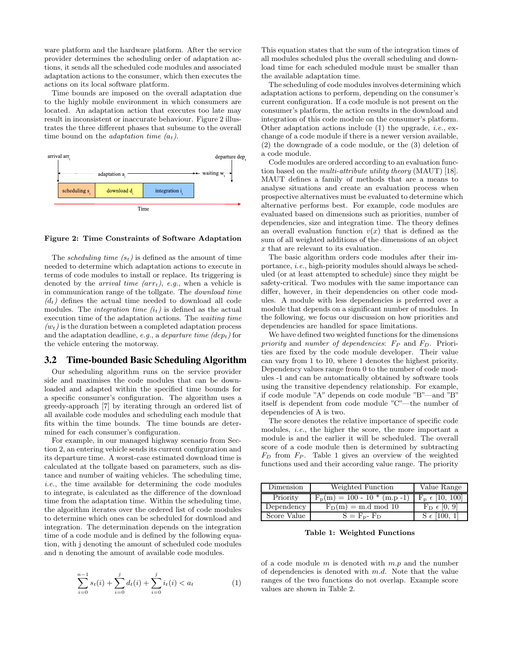ware platform and the hardware platform. After the service provider determines the scheduling order of adaptation actions, it sends all the scheduled code modules and associated adaptation actions to the consumer, which then executes the actions on its local software platform.

Time bounds are imposed on the overall adaptation due to the highly mobile environment in which consumers are located. An adaptation action that executes too late may result in inconsistent or inaccurate behaviour. Figure 2 illustrates the three different phases that subsume to the overall time bound on the *adaptation time*  $(a_t)$ .



Figure 2: Time Constraints of Software Adaptation

The *scheduling time*  $(s_t)$  is defined as the amount of time needed to determine which adaptation actions to execute in terms of code modules to install or replace. Its triggering is denoted by the *arrival time (arr<sub>t</sub>)*, *e.g.*, when a vehicle is in communication range of the tollgate. The download time  $(d_t)$  defines the actual time needed to download all code modules. The *integration time*  $(i_t)$  is defined as the actual execution time of the adaptation actions. The waiting time  $(w<sub>t</sub>)$  is the duration between a completed adaptation process and the adaptation deadline, e.g., a *departure time (dep<sub>t</sub>*) for the vehicle entering the motorway.

#### **3.2 Time-bounded Basic Scheduling Algorithm**

Our scheduling algorithm runs on the service provider side and maximises the code modules that can be downloaded and adapted within the specified time bounds for a specific consumer's configuration. The algorithm uses a greedy-approach [7] by iterating through an ordered list of all available code modules and scheduling each module that fits within the time bounds. The time bounds are determined for each consumer's configuration.

For example, in our managed highway scenario from Section 2, an entering vehicle sends its current configuration and its departure time. A worst-case estimated download time is calculated at the tollgate based on parameters, such as distance and number of waiting vehicles. The scheduling time, i.e., the time available for determining the code modules to integrate, is calculated as the difference of the download time from the adaptation time. Within the scheduling time, the algorithm iterates over the ordered list of code modules to determine which ones can be scheduled for download and integration. The determination depends on the integration time of a code module and is defined by the following equation, with j denoting the amount of scheduled code modules and n denoting the amount of available code modules.

$$
\sum_{i=0}^{n-1} s_t(i) + \sum_{i=0}^j d_t(i) + \sum_{i=0}^j i_t(i) < a_t \tag{1}
$$

This equation states that the sum of the integration times of all modules scheduled plus the overall scheduling and download time for each scheduled module must be smaller than the available adaptation time.

The scheduling of code modules involves determining which adaptation actions to perform, depending on the consumer's current configuration. If a code module is not present on the consumer's platform, the action results in the download and integration of this code module on the consumer's platform. Other adaptation actions include (1) the upgrade, i.e., exchange of a code module if there is a newer version available, (2) the downgrade of a code module, or the (3) deletion of a code module.

Code modules are ordered according to an evaluation function based on the multi-attribute utility theory (MAUT) [18]. MAUT defines a family of methods that are a means to analyse situations and create an evaluation process when prospective alternatives must be evaluated to determine which alternative performs best. For example, code modules are evaluated based on dimensions such as priorities, number of dependencies, size and integration time. The theory defines an overall evaluation function  $v(x)$  that is defined as the sum of all weighted additions of the dimensions of an object x that are relevant to its evaluation.

The basic algorithm orders code modules after their importance, i.e., high-priority modules should always be scheduled (or at least attempted to schedule) since they might be safety-critical. Two modules with the same importance can differ, however, in their dependencies on other code modules. A module with less dependencies is preferred over a module that depends on a significant number of modules. In the following, we focus our discussion on how priorities and dependencies are handled for space limitations.

We have defined two weighted functions for the dimensions priority and number of dependencies:  $F_P$  and  $F_D$ . Priorities are fixed by the code module developer. Their value can vary from 1 to 10, where 1 denotes the highest priority. Dependency values range from 0 to the number of code modules -1 and can be automatically obtained by software tools using the transitive dependency relationship. For example, if code module "A" depends on code module "B"—and "B" itself is dependent from code module "C"—the number of dependencies of A is two.

The score denotes the relative importance of specific code modules, i.e., the higher the score, the more important a module is and the earlier it will be scheduled. The overall score of a code module then is determined by subtracting  $F_D$  from  $F_P$ . Table 1 gives an overview of the weighted functions used and their according value range. The priority

| Dimension   | Weighted Function             | Value Range         |
|-------------|-------------------------------|---------------------|
| Priority    | $F_p(m) = 100 - 10 * (m.p-1)$ | $F_p \in [10, 100]$ |
| Dependency  | $F_D(m) = m.d \mod 10$        | $F_D \in [0, 9]$    |
| Score Value | $S = F_{p} - F_{D}$           | $S \in [100, 1]$    |

Table 1: Weighted Functions

of a code module  $m$  is denoted with  $m.p$  and the number of dependencies is denoted with  $m.d.$  Note that the value ranges of the two functions do not overlap. Example score values are shown in Table 2.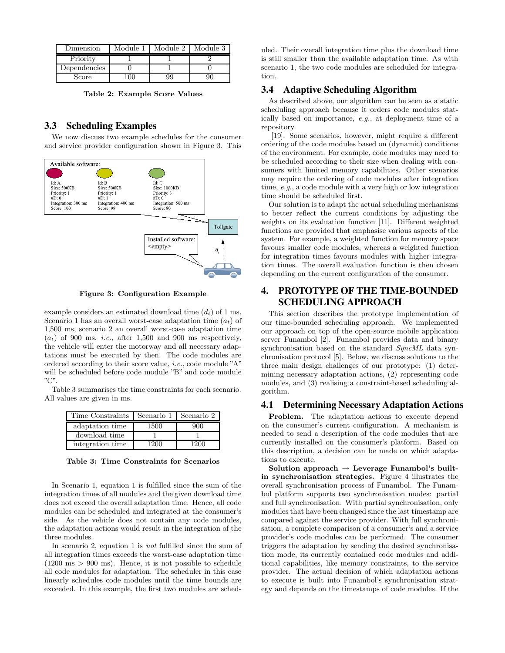| Dimension    | Module 1 | Module 2 | Module 3 |
|--------------|----------|----------|----------|
| Priority     |          |          |          |
| Dependencies |          |          |          |
| Score        |          |          |          |

Table 2: Example Score Values

## **3.3 Scheduling Examples**

We now discuss two example schedules for the consumer and service provider configuration shown in Figure 3. This



Figure 3: Configuration Example

example considers an estimated download time  $(d_t)$  of 1 ms. Scenario 1 has an overall worst-case adaptation time  $(a_t)$  of 1,500 ms, scenario 2 an overall worst-case adaptation time  $(a_t)$  of 900 ms, *i.e.*, after 1,500 and 900 ms respectively, the vehicle will enter the motorway and all necessary adaptations must be executed by then. The code modules are ordered according to their score value, i.e., code module "A" will be scheduled before code module "B" and code module "C".

Table 3 summarises the time constraints for each scenario. All values are given in ms.

| Time Constraints | Scenario 1   Scenario 2 |      |
|------------------|-------------------------|------|
| adaptation time  | 1500                    |      |
| download time    |                         |      |
| integration time | 1200                    | 1200 |

Table 3: Time Constraints for Scenarios

In Scenario 1, equation 1 is fulfilled since the sum of the integration times of all modules and the given download time does not exceed the overall adaptation time. Hence, all code modules can be scheduled and integrated at the consumer's side. As the vehicle does not contain any code modules, the adaptation actions would result in the integration of the three modules.

In scenario 2, equation 1 is not fulfilled since the sum of all integration times exceeds the worst-case adaptation time  $(1200 \text{ ms} > 900 \text{ ms})$ . Hence, it is not possible to schedule all code modules for adaptation. The scheduler in this case linearly schedules code modules until the time bounds are exceeded. In this example, the first two modules are scheduled. Their overall integration time plus the download time is still smaller than the available adaptation time. As with scenario 1, the two code modules are scheduled for integration.

## **3.4 Adaptive Scheduling Algorithm**

As described above, our algorithm can be seen as a static scheduling approach because it orders code modules statically based on importance, e.g., at deployment time of a repository

[19]. Some scenarios, however, might require a different ordering of the code modules based on (dynamic) conditions of the environment. For example, code modules may need to be scheduled according to their size when dealing with consumers with limited memory capabilities. Other scenarios may require the ordering of code modules after integration time, e.g., a code module with a very high or low integration time should be scheduled first.

Our solution is to adapt the actual scheduling mechanisms to better reflect the current conditions by adjusting the weights on its evaluation function [11]. Different weighted functions are provided that emphasise various aspects of the system. For example, a weighted function for memory space favours smaller code modules, whereas a weighted function for integration times favours modules with higher integration times. The overall evaluation function is then chosen depending on the current configuration of the consumer.

# **4. PROTOTYPE OF THE TIME-BOUNDED SCHEDULING APPROACH**

This section describes the prototype implementation of our time-bounded scheduling approach. We implemented our approach on top of the open-source mobile application server Funambol [2]. Funambol provides data and binary synchronisation based on the standard SyncML data synchronisation protocol [5]. Below, we discuss solutions to the three main design challenges of our prototype: (1) determining necessary adaptation actions, (2) representing code modules, and (3) realising a constraint-based scheduling algorithm.

## **4.1 Determining Necessary Adaptation Actions**

Problem. The adaptation actions to execute depend on the consumer's current configuration. A mechanism is needed to send a description of the code modules that are currently installed on the consumer's platform. Based on this description, a decision can be made on which adaptations to execute.

Solution approach  $\rightarrow$  Leverage Funambol's builtin synchronisation strategies. Figure 4 illustrates the overall synchronisation process of Funambol. The Funambol platform supports two synchronisation modes: partial and full synchronisation. With partial synchronisation, only modules that have been changed since the last timestamp are compared against the service provider. With full synchronisation, a complete comparison of a consumer's and a service provider's code modules can be performed. The consumer triggers the adaptation by sending the desired synchronisation mode, its currently contained code modules and additional capabilities, like memory constraints, to the service provider. The actual decision of which adaptation actions to execute is built into Funambol's synchronisation strategy and depends on the timestamps of code modules. If the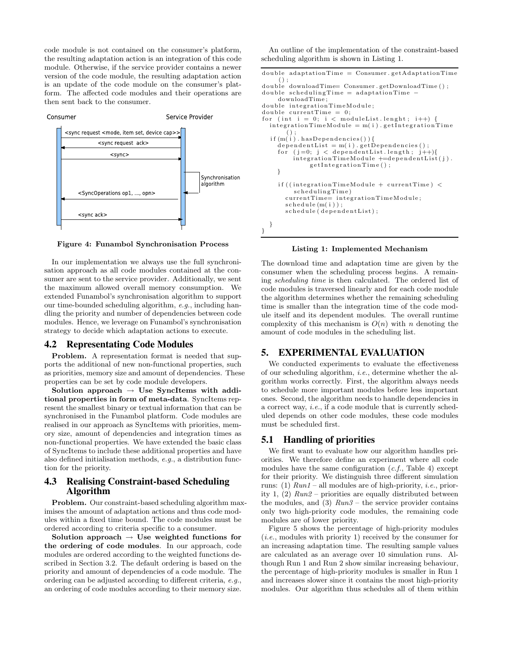code module is not contained on the consumer's platform, the resulting adaptation action is an integration of this code module. Otherwise, if the service provider contains a newer version of the code module, the resulting adaptation action is an update of the code module on the consumer's platform. The affected code modules and their operations are then sent back to the consumer.



Figure 4: Funambol Synchronisation Process

In our implementation we always use the full synchronisation approach as all code modules contained at the consumer are sent to the service provider. Additionally, we sent the maximum allowed overall memory consumption. We extended Funambol's synchronisation algorithm to support our time-bounded scheduling algorithm, e.g., including handling the priority and number of dependencies between code modules. Hence, we leverage on Funambol's synchronisation strategy to decide which adaptation actions to execute.

## **4.2 Representating Code Modules**

Problem. A representation format is needed that supports the additional of new non-functional properties, such as priorities, memory size and amount of dependencies. These properties can be set by code module developers.

Solution approach  $\rightarrow$  Use SyncItems with additional properties in form of meta-data. SyncItems represent the smallest binary or textual information that can be synchronised in the Funambol platform. Code modules are realised in our approach as SyncItems with priorities, memory size, amount of dependencies and integration times as non-functional properties. We have extended the basic class of SyncItems to include these additional properties and have also defined initialisation methods, e.g., a distribution function for the priority.

# **4.3 Realising Constraint-based Scheduling Algorithm**

Problem. Our constraint-based scheduling algorithm maximises the amount of adaptation actions and thus code modules within a fixed time bound. The code modules must be ordered according to criteria specific to a consumer.

Solution approach  $\rightarrow$  Use weighted functions for the ordering of code modules. In our approach, code modules are ordered according to the weighted functions described in Section 3.2. The default ordering is based on the priority and amount of dependencies of a code module. The ordering can be adjusted according to different criteria, e.g., an ordering of code modules according to their memory size.

An outline of the implementation of the constraint-based scheduling algorithm is shown in Listing 1.

| $double$ adaptationTime = Consumer.getAdaptationTime<br>$()$ ; |
|----------------------------------------------------------------|
| double downloadTime= Consumer.getDownloadTime();               |
| $double$ scheduling Time = adaptation Time -                   |
| downloadTime;                                                  |
| double integrationTimeModule;                                  |
| double currentTime $= 0$ ;                                     |
| for (int $i = 0$ ; $i < \text{moduleList.length}$ ; $i++)$ {   |
| $integrationTimeModule = m(i)$ . getIntegrationTime            |
| $()$ ;                                                         |
| $if(m(i) \ldots hasDependencies())$                            |
| $dependentList = m(i) . getDependencies()$ ;                   |
| for $(j=0; j <$ dependentList.length; $j++$ }{                 |
| $integrationTimeModule +=dependentList(j).$                    |
| $getIntegerationTime()$ ;                                      |
| }                                                              |
|                                                                |
| if ((integrationTimeModule + currentTime) $\lt$                |
| schedulingTime)                                                |
| currentTime= integrationTimeModule;                            |
| $s$ chedule $(m(i))$ ;                                         |
| schedule (dependentList);                                      |
|                                                                |
|                                                                |
|                                                                |

Listing 1: Implemented Mechanism

The download time and adaptation time are given by the consumer when the scheduling process begins. A remaining scheduling time is then calculated. The ordered list of code modules is traversed linearly and for each code module the algorithm determines whether the remaining scheduling time is smaller than the integration time of the code module itself and its dependent modules. The overall runtime complexity of this mechanism is  $O(n)$  with n denoting the amount of code modules in the scheduling list.

## **5. EXPERIMENTAL EVALUATION**

We conducted experiments to evaluate the effectiveness of our scheduling algorithm, i.e., determine whether the algorithm works correctly. First, the algorithm always needs to schedule more important modules before less important ones. Second, the algorithm needs to handle dependencies in a correct way, i.e., if a code module that is currently scheduled depends on other code modules, these code modules must be scheduled first.

# **5.1 Handling of priorities**

We first want to evaluate how our algorithm handles priorities. We therefore define an experiment where all code modules have the same configuration  $(c.f., Table 4)$  except for their priority. We distinguish three different simulation runs: (1)  $Run1 - all$  modules are of high-priority, *i.e.*, priority 1, (2)  $Run2$  – priorities are equally distributed between the modules, and (3)  $Run3$  – the service provider contains only two high-priority code modules, the remaining code modules are of lower priority.

Figure 5 shows the percentage of high-priority modules  $(i.e.,$  modules with priority 1) received by the consumer for an increasing adaptation time. The resulting sample values are calculated as an average over 10 simulation runs. Although Run 1 and Run 2 show similar increasing behaviour, the percentage of high-priority modules is smaller in Run 1 and increases slower since it contains the most high-priority modules. Our algorithm thus schedules all of them within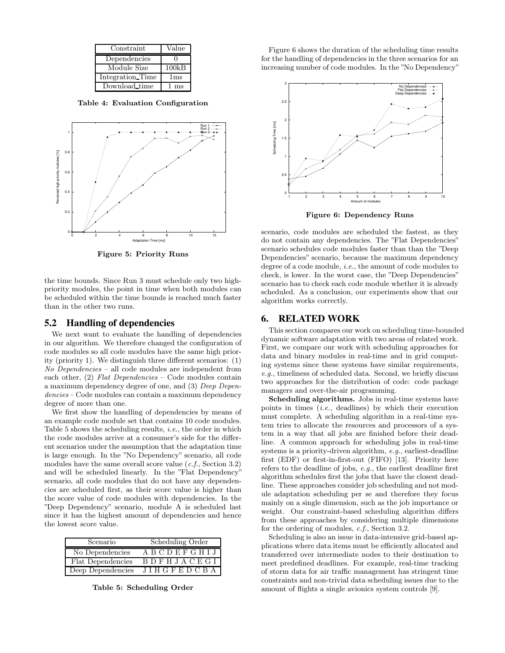| Constraint       | Value           |
|------------------|-----------------|
| Dependencies     |                 |
| Module Size      | 100kB           |
| Integration_Time | 1 <sub>ms</sub> |
| Download_time    | ms              |

Table 4: Evaluation Configuration



Figure 5: Priority Runs

the time bounds. Since Run 3 must schedule only two highpriority modules, the point in time when both modules can be scheduled within the time bounds is reached much faster than in the other two runs.

#### **5.2 Handling of dependencies**

We next want to evaluate the handling of dependencies in our algorithm. We therefore changed the configuration of code modules so all code modules have the same high priority (priority 1). We distinguish three different scenarios: (1) No Dependencies – all code modules are independent from each other,  $(2)$  Flat Dependencies – Code modules contain a maximum dependency degree of one, and (3) Deep Dependencies – Code modules can contain a maximum dependency degree of more than one.

We first show the handling of dependencies by means of an example code module set that contains 10 code modules. Table 5 shows the scheduling results, i.e., the order in which the code modules arrive at a consumer's side for the different scenarios under the assumption that the adaptation time is large enough. In the "No Dependency" scenario, all code modules have the same overall score value  $(c.f., Section 3.2)$ and will be scheduled linearly. In the "Flat Dependency" scenario, all code modules that do not have any dependencies are scheduled first, as their score value is higher than the score value of code modules with dependencies. In the "Deep Dependency" scenario, module A is scheduled last since it has the highest amount of dependencies and hence the lowest score value.

| Scenario          | Scheduling Order  |
|-------------------|-------------------|
| No Dependencies   | ABCDEFGHIJ        |
| Flat Dependencies | <b>BDFHJACEGI</b> |
| Deep Dependencies | JIH G F E D C B A |

Table 5: Scheduling Order

Figure 6 shows the duration of the scheduling time results for the handling of dependencies in the three scenarios for an increasing number of code modules. In the "No Dependency"



Figure 6: Dependency Runs

scenario, code modules are scheduled the fastest, as they do not contain any dependencies. The "Flat Dependencies" scenario schedules code modules faster than than the "Deep Dependencies" scenario, because the maximum dependency degree of a code module, i.e., the amount of code modules to check, is lower. In the worst case, the "Deep Dependencies" scenario has to check each code module whether it is already scheduled. As a conclusion, our experiments show that our algorithm works correctly.

## **6. RELATED WORK**

This section compares our work on scheduling time-bounded dynamic software adaptation with two areas of related work. First, we compare our work with scheduling approaches for data and binary modules in real-time and in grid computing systems since these systems have similar requirements, e.g., timeliness of scheduled data. Second, we briefly discuss two approaches for the distribution of code: code package managers and over-the-air programming.

Scheduling algorithms. Jobs in real-time systems have points in times  $(i.e.,$  deadlines) by which their execution must complete. A scheduling algorithm in a real-time system tries to allocate the resources and processors of a system in a way that all jobs are finished before their deadline. A common approach for scheduling jobs in real-time systems is a priority-driven algorithm, e.g., earliest-deadline first (EDF) or first-in-first-out (FIFO) [13]. Priority here refers to the deadline of jobs, e.g., the earliest deadline first algorithm schedules first the jobs that have the closest deadline. These approaches consider job scheduling and not module adaptation scheduling per se and therefore they focus mainly on a single dimension, such as the job importance or weight. Our constraint-based scheduling algorithm differs from these approaches by considering multiple dimensions for the ordering of modules, c.f., Section 3.2.

Scheduling is also an issue in data-intensive grid-based applications where data items must be efficiently allocated and transferred over intermediate nodes to their destination to meet predefined deadlines. For example, real-time tracking of storm data for air traffic management has stringent time constraints and non-trivial data scheduling issues due to the amount of flights a single avionics system controls [9].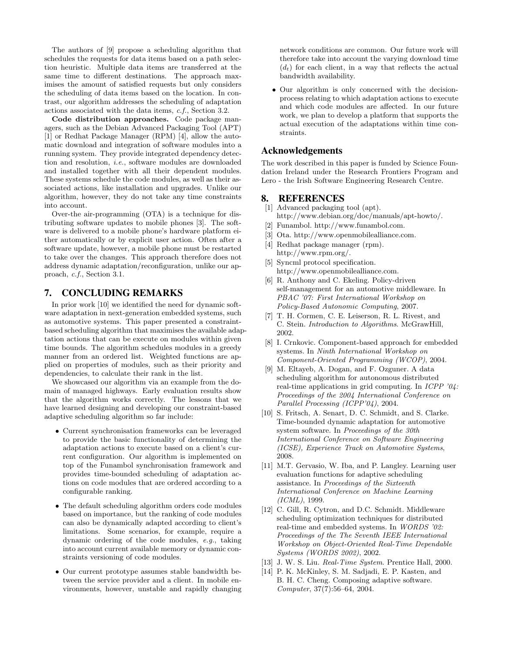The authors of [9] propose a scheduling algorithm that schedules the requests for data items based on a path selection heuristic. Multiple data items are transferred at the same time to different destinations. The approach maximises the amount of satisfied requests but only considers the scheduling of data items based on the location. In contrast, our algorithm addresses the scheduling of adaptation actions associated with the data items, c.f., Section 3.2.

Code distribution approaches. Code package managers, such as the Debian Advanced Packaging Tool (APT) [1] or Redhat Package Manager (RPM) [4], allow the automatic download and integration of software modules into a running system. They provide integrated dependency detection and resolution, i.e., software modules are downloaded and installed together with all their dependent modules. These systems schedule the code modules, as well as their associated actions, like installation and upgrades. Unlike our algorithm, however, they do not take any time constraints into account.

Over-the air-programming (OTA) is a technique for distributing software updates to mobile phones [3]. The software is delivered to a mobile phone's hardware platform either automatically or by explicit user action. Often after a software update, however, a mobile phone must be restarted to take over the changes. This approach therefore does not address dynamic adaptation/reconfiguration, unlike our approach, c.f., Section 3.1.

## **7. CONCLUDING REMARKS**

In prior work [10] we identified the need for dynamic software adaptation in next-generation embedded systems, such as automotive systems. This paper presented a constraintbased scheduling algorithm that maximises the available adaptation actions that can be execute on modules within given time bounds. The algorithm schedules modules in a greedy manner from an ordered list. Weighted functions are applied on properties of modules, such as their priority and dependencies, to calculate their rank in the list.

We showcased our algorithm via an example from the domain of managed highways. Early evaluation results show that the algorithm works correctly. The lessons that we have learned designing and developing our constraint-based adaptive scheduling algorithm so far include:

- Current synchronisation frameworks can be leveraged to provide the basic functionality of determining the adaptation actions to execute based on a client's current configuration. Our algorithm is implemented on top of the Funambol synchronisation framework and provides time-bounded scheduling of adaptation actions on code modules that are ordered according to a configurable ranking.
- The default scheduling algorithm orders code modules based on importance, but the ranking of code modules can also be dynamically adapted according to client's limitations. Some scenarios, for example, require a dynamic ordering of the code modules, e.g., taking into account current available memory or dynamic constraints versioning of code modules.
- Our current prototype assumes stable bandwidth between the service provider and a client. In mobile environments, however, unstable and rapidly changing

network conditions are common. Our future work will therefore take into account the varying download time  $(d_t)$  for each client, in a way that reflects the actual bandwidth availability.

• Our algorithm is only concerned with the decisionprocess relating to which adaptation actions to execute and which code modules are affected. In our future work, we plan to develop a platform that supports the actual execution of the adaptations within time constraints.

## **Acknowledgements**

The work described in this paper is funded by Science Foundation Ireland under the Research Frontiers Program and Lero - the Irish Software Engineering Research Centre.

## **8. REFERENCES**

- [1] Advanced packaging tool (apt). http://www.debian.org/doc/manuals/apt-howto/.
- [2] Funambol. http://www.funambol.com.
- [3] Ota. http://www.openmobilealliance.com.
- [4] Redhat package manager (rpm). http://www.rpm.org/.
- [5] Syncml protocol specification. http://www.openmobilealliance.com.
- [6] R. Anthony and C. Ekeling. Policy-driven self-management for an automotive middleware. In PBAC '07: First International Workshop on Policy-Based Autonomic Computing, 2007.
- [7] T. H. Cormen, C. E. Leiserson, R. L. Rivest, and C. Stein. Introduction to Algorithms. McGrawHill, 2002.
- [8] I. Crnkovic. Component-based approach for embedded systems. In Ninth International Workshop on Component-Oriented Programming (WCOP), 2004.
- [9] M. Eltayeb, A. Dogan, and F. Ozguner. A data scheduling algorithm for autonomous distributed real-time applications in grid computing. In  $ICPP$  '04: Proceedings of the 2004 International Conference on Parallel Processing (ICPP'04), 2004.
- [10] S. Fritsch, A. Senart, D. C. Schmidt, and S. Clarke. Time-bounded dynamic adaptation for automotive system software. In Proceedings of the 30th International Conference on Software Engineering (ICSE), Experience Track on Automotive Systems, 2008.
- [11] M.T. Gervasio, W. Iba, and P. Langley. Learning user evaluation functions for adaptive scheduling assistance. In Proceedings of the Sixteenth International Conference on Machine Learning (ICML), 1999.
- [12] C. Gill, R. Cytron, and D.C. Schmidt. Middleware scheduling optimization techniques for distributed real-time and embedded systems. In WORDS '02: Proceedings of the The Seventh IEEE International Workshop on Object-Oriented Real-Time Dependable Systems (WORDS 2002), 2002.
- [13] J. W. S. Liu. Real-Time System. Prentice Hall, 2000.
- [14] P. K. McKinley, S. M. Sadjadi, E. P. Kasten, and B. H. C. Cheng. Composing adaptive software. Computer, 37(7):56–64, 2004.